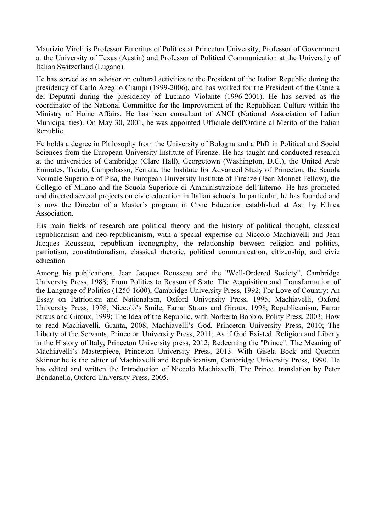Maurizio Viroli is Professor Emeritus of Politics at Princeton University, Professor of Government at the University of Texas (Austin) and Professor of Political Communication at the University of Italian Switzerland (Lugano).

He has served as an advisor on cultural activities to the President of the Italian Republic during the presidency of Carlo Azeglio Ciampi (1999-2006), and has worked for the President of the Camera dei Deputati during the presidency of Luciano Violante (1996-2001). He has served as the coordinator of the National Committee for the Improvement of the Republican Culture within the Ministry of Home Affairs. He has been consultant of ANCI (National Association of Italian Municipalities). On May 30, 2001, he was appointed Ufficiale dell'Ordine al Merito of the Italian Republic.

He holds a degree in Philosophy from the University of Bologna and a PhD in Political and Social Sciences from the European University Institute of Firenze. He has taught and conducted research at the universities of Cambridge (Clare Hall), Georgetown (Washington, D.C.), the United Arab Emirates, Trento, Campobasso, Ferrara, the Institute for Advanced Study of Princeton, the Scuola Normale Superiore of Pisa, the European University Institute of Firenze (Jean Monnet Fellow), the Collegio of Milano and the Scuola Superiore di Amministrazione dell'Interno. He has promoted and directed several projects on civic education in Italian schools. In particular, he has founded and is now the Director of a Master's program in Civic Education established at Asti by Ethica Association.

His main fields of research are political theory and the history of political thought, classical republicanism and neo-republicanism, with a special expertise on Niccolò Machiavelli and Jean Jacques Rousseau, republican iconography, the relationship between religion and politics, patriotism, constitutionalism, classical rhetoric, political communication, citizenship, and civic education

Among his publications, Jean Jacques Rousseau and the "Well-Ordered Society", Cambridge University Press, 1988; From Politics to Reason of State. The Acquisition and Transformation of the Language of Politics (1250-1600), Cambridge University Press, 1992; For Love of Country: An Essay on Patriotism and Nationalism, Oxford University Press, 1995; Machiavelli, Oxford University Press, 1998; Niccolò's Smile, Farrar Straus and Giroux, 1998; Republicanism, Farrar Straus and Giroux, 1999; The Idea of the Republic, with Norberto Bobbio, Polity Press, 2003; How to read Machiavelli, Granta, 2008; Machiavelli's God, Princeton University Press, 2010; The Liberty of the Servants, Princeton University Press, 2011; As if God Existed. Religion and Liberty in the History of Italy, Princeton University press, 2012; Redeeming the "Prince". The Meaning of Machiavelli's Masterpiece, Princeton University Press, 2013. With Gisela Bock and Quentin Skinner he is the editor of Machiavelli and Republicanism, Cambridge University Press, 1990. He has edited and written the Introduction of Niccolò Machiavelli, The Prince, translation by Peter Bondanella, Oxford University Press, 2005.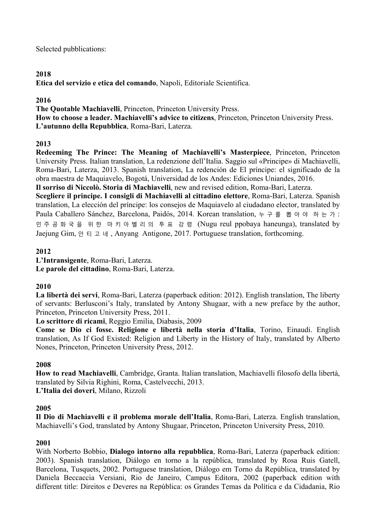Selected pubblications:

## **2018**

**Etica del servizio e etica del comando**, Napoli, Editoriale Scientifica.

# **2016**

**The Quotable Machiavelli**, Princeton, Princeton University Press.

**How to choose a leader. Machiavelli's advice to citizens**, Princeton, Princeton University Press. **L'autunno della Repubblica**, Roma-Bari, Laterza.

# **2013**

**Redeeming The Prince: The Meaning of Machiavelli's Masterpiece**, Princeton, Princeton University Press. Italian translation, La redenzione dell'Italia. Saggio sul «Principe» di Machiavelli, Roma-Bari, Laterza, 2013. Spanish translation, La redención de El príncipe: el significado de la obra maestra de Maquiavelo, Bogotá, Universidad de los Andes: Ediciones Uniandes, 2016. **Il sorriso di Niccolò. Storia di Machiavelli**, new and revised edition, Roma-Bari, Laterza.

**Scegliere il principe. I consigli di Machiavelli al cittadino elettore**, Roma-Bari, Laterza. Spanish translation, La elección del príncipe: los consejos de Maquiavelo al ciudadano elector, translated by Paula Caballero Sánchez, Barcelona, Paidós, 2014. Korean translation, 누구를 뽑아야 하는가 : 민주공화국을 위 한 마키아벨리의 투 표 강 령 (Nugu reul ppobaya haneunga), translated by Jaejung Gim, 안티고네 , Anyang Antigone, 2017. Portuguese translation, forthcoming.

# **2012**

**L'Intransigente**, Roma-Bari, Laterza. **Le parole del cittadino**, Roma-Bari, Laterza.

# **2010**

**La libertà dei servi**, Roma-Bari, Laterza (paperback edition: 2012). English translation, The liberty of servants: Berlusconi's Italy, translated by Antony Shugaar, with a new preface by the author, Princeton, Princeton University Press, 2011.

**Lo scrittore di ricami**, Reggio Emilia, Diabasis, 2009

**Come se Dio ci fosse. Religione e libertà nella storia d'Italia**, Torino, Einaudi. English translation, As If God Existed: Religion and Liberty in the History of Italy, translated by Alberto Nones, Princeton, Princeton University Press, 2012.

## **2008**

**How to read Machiavelli**, Cambridge, Granta. Italian translation, Machiavelli filosofo della libertà, translated by Silvia Righini, Roma, Castelvecchi, 2013.

**L'Italia dei doveri**, Milano, Rizzoli

## **2005**

**Il Dio di Machiavelli e il problema morale dell'Italia**, Roma-Bari, Laterza. English translation, Machiavelli's God, translated by Antony Shugaar, Princeton, Princeton University Press, 2010.

## **2001**

With Norberto Bobbio, **Dialogo intorno alla repubblica**, Roma-Bari, Laterza (paperback edition: 2003). Spanish translation, Diálogo en torno a la república, translated by Rosa Ruis Gatell, Barcelona, Tusquets, 2002. Portuguese translation, Diálogo em Torno da República, translated by Daniela Beccaccia Versiani, Rio de Janeiro, Campus Editora, 2002 (paperback edition with different title: Direitos e Deveres na República: os Grandes Temas da Política e da Cidadania, Rio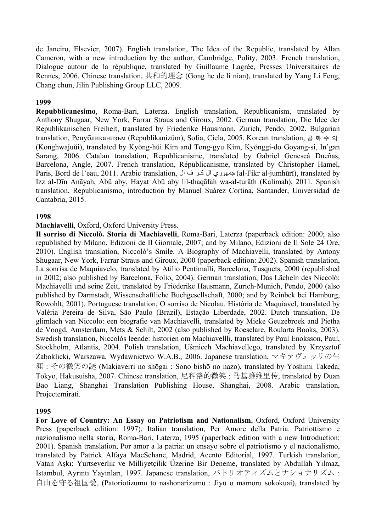de Janeiro, Elsevier, 2007). English translation, The Idea of the Republic, translated by Allan Cameron, with a new introduction by the author, Cambridge, Polity, 2003. French translation, Dialogue autour de la république, translated by Guillaume Lagrée, Presses Universitaires de Rennes, 2006. Chinese translation, 共和的理念 (Gong he de li nian), translated by Yang Li Feng, Chang chun, Jilin Publishing Group LLC, 2009.

## **1999**

**Repubblicanesimo**, Roma-Bari, Laterza. English translation, Republicanism, translated by Anthony Shugaar, New York, Farrar Straus and Giroux, 2002. German translation, Die Idee der Republikanischen Freiheit, translated by Friederike Hausmann, Zurich, Pendo, 2002. Bulgarian translation, Републиканизъм (Republikanizum), Sofia, Ciela, 2005. Korean translation, 공화주의 (Konghwajuŭi), translated by Kyŏng-hŭi Kim and Tong-gyu Kim, Kyŏnggi-do Goyang-si, In'gan Sarang, 2006. Catalan translation, Republicanisme, translated by Gabriel Genescà Dueñas, Barcelona, Angle, 2007. French translation, Républicanisme, translated by Christopher Hamel, Paris, Bord de l'eau, 2011. Arabic translation, اجمهوري ال كر ف ال $(al-Fikr al-jumhūrī)$ , translated by Izz al-Dīn Anāyah, Abū aby, Hayat Abū aby lil-thaqāfah wa-al-turāth (Kalimah), 2011. Spanish translation, Republicanismo, introduction by Manuel Suárez Cortina, Santander, Universidad de Cantabria, 2015.

### **1998**

### **Machiavelli**, Oxford, Oxford University Press.

**Il sorriso di Niccolò. Storia di Machiavelli**, Roma-Bari, Laterza (paperback edition: 2000; also republished by Milano, Edizioni de Il Giornale, 2007; and by Milano, Edizioni de Il Sole 24 Ore, 2010). English translation, Niccolò's Smile. A Biography of Machiavelli, translated by Antony Shugaar, New York, Farrar Straus and Giroux, 2000 (paperback edition: 2002). Spanish translation, La sonrisa de Maquiavelo, translated by Atilio Pentimalli, Barcelona, Tusquets, 2000 (republished in 2002; also published by Barcelona, Folio, 2004). German translation, Das Lächeln des Niccolò: Machiavelli und seine Zeit, translated by Friederike Hausmann, Zurich-Munich, Pendo, 2000 (also published by Darmstadt, Wissenschaftliche Buchgesellschaft, 2000; and by Reinbek bei Hamburg, Rowohlt, 2001). Portuguese translation, O sorriso de Nicolau. História de Maquiavel, translated by Valéria Pereira de Silva, São Paulo (Brazil), Estação Liberdade, 2002. Dutch translation, De glimlach van Niccolo: een biografie van Machiavelli, translated by Mieke Geuzebroek and Pietha de Voogd, Amsterdam, Mets & Schilt, 2002 (also published by Roeselare, Roularta Books, 2003). Swedish translation, Niccolòs leende: historien om Machiavellli, translated by Paul Enoksson, Paul, Stockholm, Atlantis, 2004. Polish translation, Uśmiech Machiavellego, translated by Krzysztof Żaboklicki, Warszawa, Wydawnictwo W.A.B., 2006. Japanese translation, マキァヴェッリの生 涯 : その微笑の謎 (Makiaverri no shōgai : Sono bishō no nazo), translated by Yoshimi Takeda, Tokyo, Hakusuisha, 2007. Chinese translation, 尼科洛的微笑 : 马基雅维里传, translated by Duan Bao Liang, Shanghai Translation Publishing House, Shanghai, 2008. Arabic translation, Projectemirati.

### **1995**

**For Love of Country: An Essay on Patriotism and Nationalism**, Oxford, Oxford University Press (paperback edition: 1997). Italian translation, Per Amore della Patria. Patriottismo e nazionalismo nella storia, Roma-Bari, Laterza, 1995 (paperback edition with a new Introduction: 2001). Spanish translation, Por amor a la patria: un ensayo sobre el patriotismo y el nacionalismo, translated by Patrick Alfaya MacSchane, Madrid, Acento Editorial, 1997. Turkish translation, Vatan Aşkı: Yurtseverlik ve Milliyetçilik Üzerine Bir Deneme, translated by Abdullah Yılmaz, Istambul, Ayrıntı Yayınları, 1997. Japanese translation, パトリオティズムとナショナリズム : 自由を守る祖国愛, (Patoriotizumu to nashonarizumu : Jiyū o mamoru sokokuai), translated by